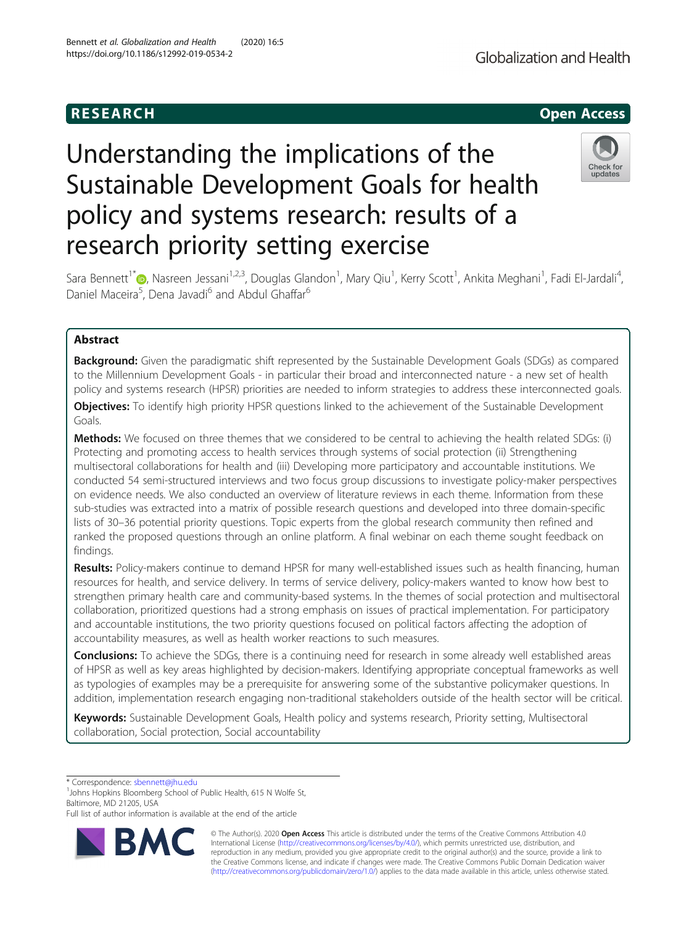## **RESEARCH CHILD CONTROL** CONTROL CONTROL CONTROL CONTROL CONTROL CONTROL CONTROL CONTROL CONTROL CONTROL CONTROL

# Understanding the implications of the Sustainable Development Goals for health policy and systems research: results of a research priority setting exercise



Sara Bennett<sup>1[\\*](http://orcid.org/0000-0001-8094-8798)</sup> (b, Nasreen Jessani<sup>1,2,3</sup>, Douglas Glandon<sup>1</sup>, Mary Qiu<sup>1</sup>, Kerry Scott<sup>1</sup>, Ankita Meghani<sup>1</sup>, Fadi El-Jardali<sup>4</sup> , Daniel Maceira<sup>5</sup>, Dena Javadi<sup>6</sup> and Abdul Ghaffar<sup>6</sup>

## Abstract

**Background:** Given the paradigmatic shift represented by the Sustainable Development Goals (SDGs) as compared to the Millennium Development Goals - in particular their broad and interconnected nature - a new set of health policy and systems research (HPSR) priorities are needed to inform strategies to address these interconnected goals.

**Objectives:** To identify high priority HPSR questions linked to the achievement of the Sustainable Development Goals.

Methods: We focused on three themes that we considered to be central to achieving the health related SDGs: (i) Protecting and promoting access to health services through systems of social protection (ii) Strengthening multisectoral collaborations for health and (iii) Developing more participatory and accountable institutions. We conducted 54 semi-structured interviews and two focus group discussions to investigate policy-maker perspectives on evidence needs. We also conducted an overview of literature reviews in each theme. Information from these sub-studies was extracted into a matrix of possible research questions and developed into three domain-specific lists of 30–36 potential priority questions. Topic experts from the global research community then refined and ranked the proposed questions through an online platform. A final webinar on each theme sought feedback on findings.

Results: Policy-makers continue to demand HPSR for many well-established issues such as health financing, human resources for health, and service delivery. In terms of service delivery, policy-makers wanted to know how best to strengthen primary health care and community-based systems. In the themes of social protection and multisectoral collaboration, prioritized questions had a strong emphasis on issues of practical implementation. For participatory and accountable institutions, the two priority questions focused on political factors affecting the adoption of accountability measures, as well as health worker reactions to such measures.

Conclusions: To achieve the SDGs, there is a continuing need for research in some already well established areas of HPSR as well as key areas highlighted by decision-makers. Identifying appropriate conceptual frameworks as well as typologies of examples may be a prerequisite for answering some of the substantive policymaker questions. In addition, implementation research engaging non-traditional stakeholders outside of the health sector will be critical.

Keywords: Sustainable Development Goals, Health policy and systems research, Priority setting, Multisectoral collaboration, Social protection, Social accountability

\* Correspondence: [sbennett@jhu.edu](mailto:sbennett@jhu.edu) <sup>1</sup>

<sup>1</sup> Johns Hopkins Bloomberg School of Public Health, 615 N Wolfe St, Baltimore, MD 21205, USA

Full list of author information is available at the end of the article



© The Author(s). 2020 **Open Access** This article is distributed under the terms of the Creative Commons Attribution 4.0 International License [\(http://creativecommons.org/licenses/by/4.0/](http://creativecommons.org/licenses/by/4.0/)), which permits unrestricted use, distribution, and reproduction in any medium, provided you give appropriate credit to the original author(s) and the source, provide a link to the Creative Commons license, and indicate if changes were made. The Creative Commons Public Domain Dedication waiver [\(http://creativecommons.org/publicdomain/zero/1.0/](http://creativecommons.org/publicdomain/zero/1.0/)) applies to the data made available in this article, unless otherwise stated.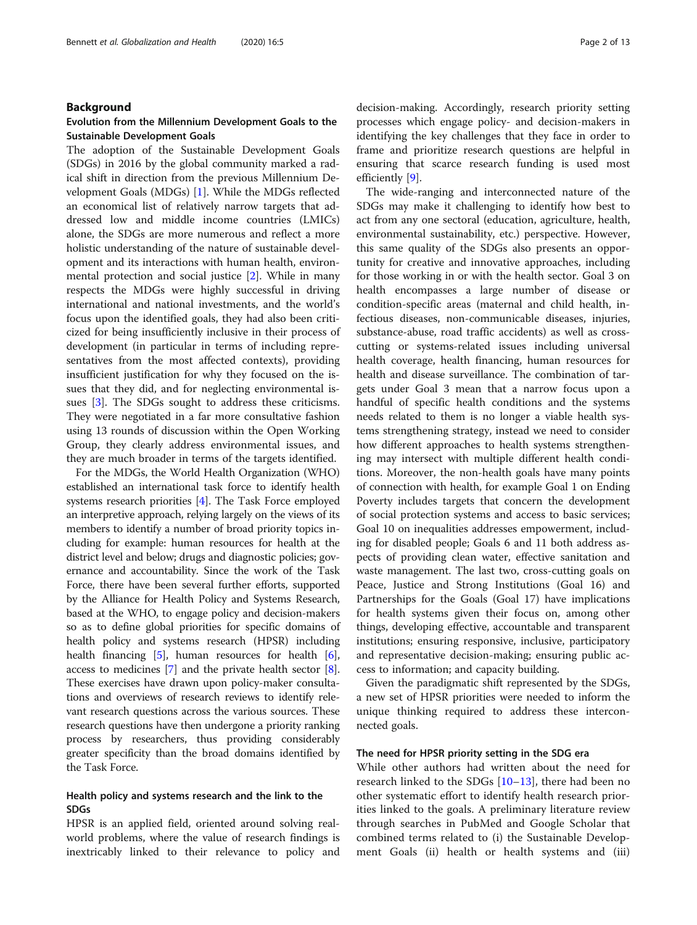#### Bennett et al. Globalization and Health (2020) 16:5 Page 2 of 13

#### Background

## Evolution from the Millennium Development Goals to the Sustainable Development Goals

The adoption of the Sustainable Development Goals (SDGs) in 2016 by the global community marked a radical shift in direction from the previous Millennium Development Goals (MDGs) [\[1](#page-11-0)]. While the MDGs reflected an economical list of relatively narrow targets that addressed low and middle income countries (LMICs) alone, the SDGs are more numerous and reflect a more holistic understanding of the nature of sustainable development and its interactions with human health, environmental protection and social justice [[2](#page-11-0)]. While in many respects the MDGs were highly successful in driving international and national investments, and the world's focus upon the identified goals, they had also been criticized for being insufficiently inclusive in their process of development (in particular in terms of including representatives from the most affected contexts), providing insufficient justification for why they focused on the issues that they did, and for neglecting environmental issues [[3](#page-11-0)]. The SDGs sought to address these criticisms. They were negotiated in a far more consultative fashion using 13 rounds of discussion within the Open Working Group, they clearly address environmental issues, and they are much broader in terms of the targets identified.

For the MDGs, the World Health Organization (WHO) established an international task force to identify health systems research priorities [\[4](#page-11-0)]. The Task Force employed an interpretive approach, relying largely on the views of its members to identify a number of broad priority topics including for example: human resources for health at the district level and below; drugs and diagnostic policies; governance and accountability. Since the work of the Task Force, there have been several further efforts, supported by the Alliance for Health Policy and Systems Research, based at the WHO, to engage policy and decision-makers so as to define global priorities for specific domains of health policy and systems research (HPSR) including health financing  $[5]$ , human resources for health  $[6]$  $[6]$  $[6]$ , access to medicines [[7\]](#page-11-0) and the private health sector [[8](#page-11-0)]. These exercises have drawn upon policy-maker consultations and overviews of research reviews to identify relevant research questions across the various sources. These research questions have then undergone a priority ranking process by researchers, thus providing considerably greater specificity than the broad domains identified by the Task Force.

## Health policy and systems research and the link to the SDGs

HPSR is an applied field, oriented around solving realworld problems, where the value of research findings is inextricably linked to their relevance to policy and decision-making. Accordingly, research priority setting processes which engage policy- and decision-makers in identifying the key challenges that they face in order to frame and prioritize research questions are helpful in ensuring that scarce research funding is used most efficiently [\[9](#page-11-0)].

The wide-ranging and interconnected nature of the SDGs may make it challenging to identify how best to act from any one sectoral (education, agriculture, health, environmental sustainability, etc.) perspective. However, this same quality of the SDGs also presents an opportunity for creative and innovative approaches, including for those working in or with the health sector. Goal 3 on health encompasses a large number of disease or condition-specific areas (maternal and child health, infectious diseases, non-communicable diseases, injuries, substance-abuse, road traffic accidents) as well as crosscutting or systems-related issues including universal health coverage, health financing, human resources for health and disease surveillance. The combination of targets under Goal 3 mean that a narrow focus upon a handful of specific health conditions and the systems needs related to them is no longer a viable health systems strengthening strategy, instead we need to consider how different approaches to health systems strengthening may intersect with multiple different health conditions. Moreover, the non-health goals have many points of connection with health, for example Goal 1 on Ending Poverty includes targets that concern the development of social protection systems and access to basic services; Goal 10 on inequalities addresses empowerment, including for disabled people; Goals 6 and 11 both address aspects of providing clean water, effective sanitation and waste management. The last two, cross-cutting goals on Peace, Justice and Strong Institutions (Goal 16) and Partnerships for the Goals (Goal 17) have implications for health systems given their focus on, among other things, developing effective, accountable and transparent institutions; ensuring responsive, inclusive, participatory and representative decision-making; ensuring public access to information; and capacity building.

Given the paradigmatic shift represented by the SDGs, a new set of HPSR priorities were needed to inform the unique thinking required to address these interconnected goals.

## The need for HPSR priority setting in the SDG era

While other authors had written about the need for research linked to the SDGs [\[10](#page-11-0)–[13](#page-12-0)], there had been no other systematic effort to identify health research priorities linked to the goals. A preliminary literature review through searches in PubMed and Google Scholar that combined terms related to (i) the Sustainable Development Goals (ii) health or health systems and (iii)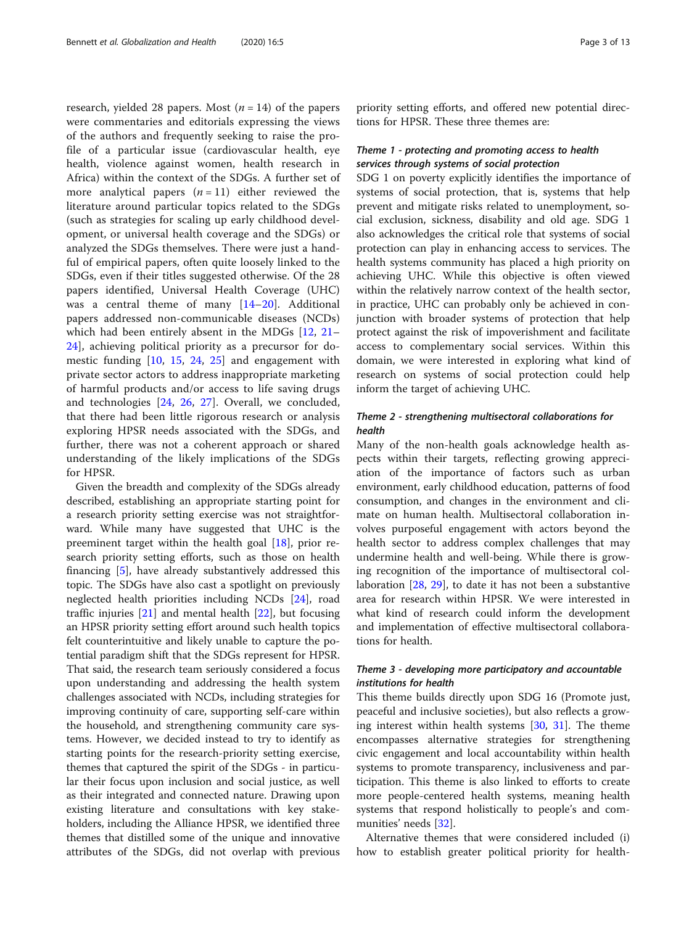research, yielded 28 papers. Most  $(n = 14)$  of the papers were commentaries and editorials expressing the views of the authors and frequently seeking to raise the profile of a particular issue (cardiovascular health, eye health, violence against women, health research in Africa) within the context of the SDGs. A further set of more analytical papers  $(n = 11)$  either reviewed the literature around particular topics related to the SDGs (such as strategies for scaling up early childhood development, or universal health coverage and the SDGs) or analyzed the SDGs themselves. There were just a handful of empirical papers, often quite loosely linked to the SDGs, even if their titles suggested otherwise. Of the 28 papers identified, Universal Health Coverage (UHC) was a central theme of many [[14](#page-12-0)–[20\]](#page-12-0). Additional papers addressed non-communicable diseases (NCDs) which had been entirely absent in the MDGs [\[12](#page-12-0), [21](#page-12-0)– [24\]](#page-12-0), achieving political priority as a precursor for domestic funding [[10,](#page-11-0) [15,](#page-12-0) [24,](#page-12-0) [25\]](#page-12-0) and engagement with private sector actors to address inappropriate marketing of harmful products and/or access to life saving drugs and technologies [[24](#page-12-0), [26](#page-12-0), [27](#page-12-0)]. Overall, we concluded, that there had been little rigorous research or analysis exploring HPSR needs associated with the SDGs, and further, there was not a coherent approach or shared understanding of the likely implications of the SDGs for HPSR.

Given the breadth and complexity of the SDGs already described, establishing an appropriate starting point for a research priority setting exercise was not straightforward. While many have suggested that UHC is the preeminent target within the health goal [\[18](#page-12-0)], prior research priority setting efforts, such as those on health financing [\[5](#page-11-0)], have already substantively addressed this topic. The SDGs have also cast a spotlight on previously neglected health priorities including NCDs [\[24](#page-12-0)], road traffic injuries [\[21](#page-12-0)] and mental health [\[22](#page-12-0)], but focusing an HPSR priority setting effort around such health topics felt counterintuitive and likely unable to capture the potential paradigm shift that the SDGs represent for HPSR. That said, the research team seriously considered a focus upon understanding and addressing the health system challenges associated with NCDs, including strategies for improving continuity of care, supporting self-care within the household, and strengthening community care systems. However, we decided instead to try to identify as starting points for the research-priority setting exercise, themes that captured the spirit of the SDGs - in particular their focus upon inclusion and social justice, as well as their integrated and connected nature. Drawing upon existing literature and consultations with key stakeholders, including the Alliance HPSR, we identified three themes that distilled some of the unique and innovative attributes of the SDGs, did not overlap with previous

priority setting efforts, and offered new potential directions for HPSR. These three themes are:

## Theme 1 - protecting and promoting access to health services through systems of social protection

SDG 1 on poverty explicitly identifies the importance of systems of social protection, that is, systems that help prevent and mitigate risks related to unemployment, social exclusion, sickness, disability and old age. SDG 1 also acknowledges the critical role that systems of social protection can play in enhancing access to services. The health systems community has placed a high priority on achieving UHC. While this objective is often viewed within the relatively narrow context of the health sector, in practice, UHC can probably only be achieved in conjunction with broader systems of protection that help protect against the risk of impoverishment and facilitate access to complementary social services. Within this domain, we were interested in exploring what kind of research on systems of social protection could help inform the target of achieving UHC.

## Theme 2 - strengthening multisectoral collaborations for health

Many of the non-health goals acknowledge health aspects within their targets, reflecting growing appreciation of the importance of factors such as urban environment, early childhood education, patterns of food consumption, and changes in the environment and climate on human health. Multisectoral collaboration involves purposeful engagement with actors beyond the health sector to address complex challenges that may undermine health and well-being. While there is growing recognition of the importance of multisectoral collaboration [[28,](#page-12-0) [29](#page-12-0)], to date it has not been a substantive area for research within HPSR. We were interested in what kind of research could inform the development and implementation of effective multisectoral collaborations for health.

## Theme 3 - developing more participatory and accountable institutions for health

This theme builds directly upon SDG 16 (Promote just, peaceful and inclusive societies), but also reflects a growing interest within health systems [\[30](#page-12-0), [31\]](#page-12-0). The theme encompasses alternative strategies for strengthening civic engagement and local accountability within health systems to promote transparency, inclusiveness and participation. This theme is also linked to efforts to create more people-centered health systems, meaning health systems that respond holistically to people's and communities' needs [\[32](#page-12-0)].

Alternative themes that were considered included (i) how to establish greater political priority for health-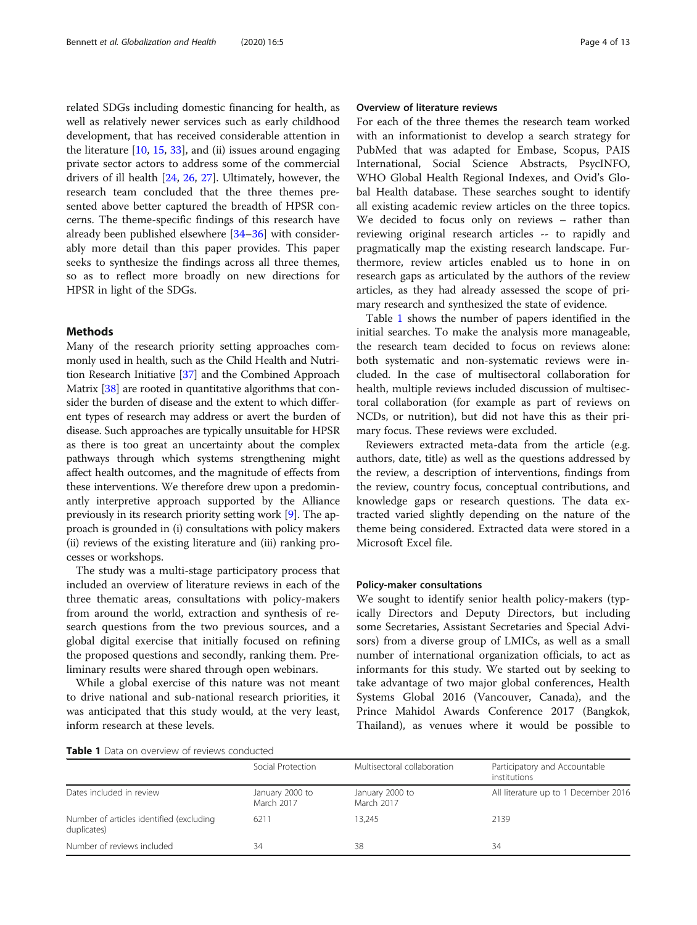related SDGs including domestic financing for health, as well as relatively newer services such as early childhood development, that has received considerable attention in the literature  $[10, 15, 33]$  $[10, 15, 33]$  $[10, 15, 33]$  $[10, 15, 33]$  $[10, 15, 33]$  $[10, 15, 33]$  $[10, 15, 33]$ , and (ii) issues around engaging private sector actors to address some of the commercial drivers of ill health [\[24](#page-12-0), [26](#page-12-0), [27\]](#page-12-0). Ultimately, however, the research team concluded that the three themes presented above better captured the breadth of HPSR concerns. The theme-specific findings of this research have already been published elsewhere [[34](#page-12-0)–[36](#page-12-0)] with considerably more detail than this paper provides. This paper seeks to synthesize the findings across all three themes, so as to reflect more broadly on new directions for HPSR in light of the SDGs.

## Methods

Many of the research priority setting approaches commonly used in health, such as the Child Health and Nutrition Research Initiative [\[37\]](#page-12-0) and the Combined Approach Matrix [[38](#page-12-0)] are rooted in quantitative algorithms that consider the burden of disease and the extent to which different types of research may address or avert the burden of disease. Such approaches are typically unsuitable for HPSR as there is too great an uncertainty about the complex pathways through which systems strengthening might affect health outcomes, and the magnitude of effects from these interventions. We therefore drew upon a predominantly interpretive approach supported by the Alliance previously in its research priority setting work [\[9\]](#page-11-0). The approach is grounded in (i) consultations with policy makers (ii) reviews of the existing literature and (iii) ranking processes or workshops.

The study was a multi-stage participatory process that included an overview of literature reviews in each of the three thematic areas, consultations with policy-makers from around the world, extraction and synthesis of research questions from the two previous sources, and a global digital exercise that initially focused on refining the proposed questions and secondly, ranking them. Preliminary results were shared through open webinars.

While a global exercise of this nature was not meant to drive national and sub-national research priorities, it was anticipated that this study would, at the very least, inform research at these levels.

## Overview of literature reviews

For each of the three themes the research team worked with an informationist to develop a search strategy for PubMed that was adapted for Embase, Scopus, PAIS International, Social Science Abstracts, PsycINFO, WHO Global Health Regional Indexes, and Ovid's Global Health database. These searches sought to identify all existing academic review articles on the three topics. We decided to focus only on reviews – rather than reviewing original research articles -- to rapidly and pragmatically map the existing research landscape. Furthermore, review articles enabled us to hone in on research gaps as articulated by the authors of the review articles, as they had already assessed the scope of primary research and synthesized the state of evidence.

Table 1 shows the number of papers identified in the initial searches. To make the analysis more manageable, the research team decided to focus on reviews alone: both systematic and non-systematic reviews were included. In the case of multisectoral collaboration for health, multiple reviews included discussion of multisectoral collaboration (for example as part of reviews on NCDs, or nutrition), but did not have this as their primary focus. These reviews were excluded.

Reviewers extracted meta-data from the article (e.g. authors, date, title) as well as the questions addressed by the review, a description of interventions, findings from the review, country focus, conceptual contributions, and knowledge gaps or research questions. The data extracted varied slightly depending on the nature of the theme being considered. Extracted data were stored in a Microsoft Excel file.

#### Policy-maker consultations

We sought to identify senior health policy-makers (typically Directors and Deputy Directors, but including some Secretaries, Assistant Secretaries and Special Advisors) from a diverse group of LMICs, as well as a small number of international organization officials, to act as informants for this study. We started out by seeking to take advantage of two major global conferences, Health Systems Global 2016 (Vancouver, Canada), and the Prince Mahidol Awards Conference 2017 (Bangkok, Thailand), as venues where it would be possible to

|  |  |  |  | <b>Table 1</b> Data on overview of reviews conducted |
|--|--|--|--|------------------------------------------------------|
|--|--|--|--|------------------------------------------------------|

|                                                         | Social Protection             | Multisectoral collaboration   | Participatory and Accountable<br>institutions |
|---------------------------------------------------------|-------------------------------|-------------------------------|-----------------------------------------------|
| Dates included in review                                | January 2000 to<br>March 2017 | January 2000 to<br>March 2017 | All literature up to 1 December 2016          |
| Number of articles identified (excluding<br>duplicates) | 6211                          | 13.245                        | 2139                                          |
| Number of reviews included                              | 34                            | 38                            | 34                                            |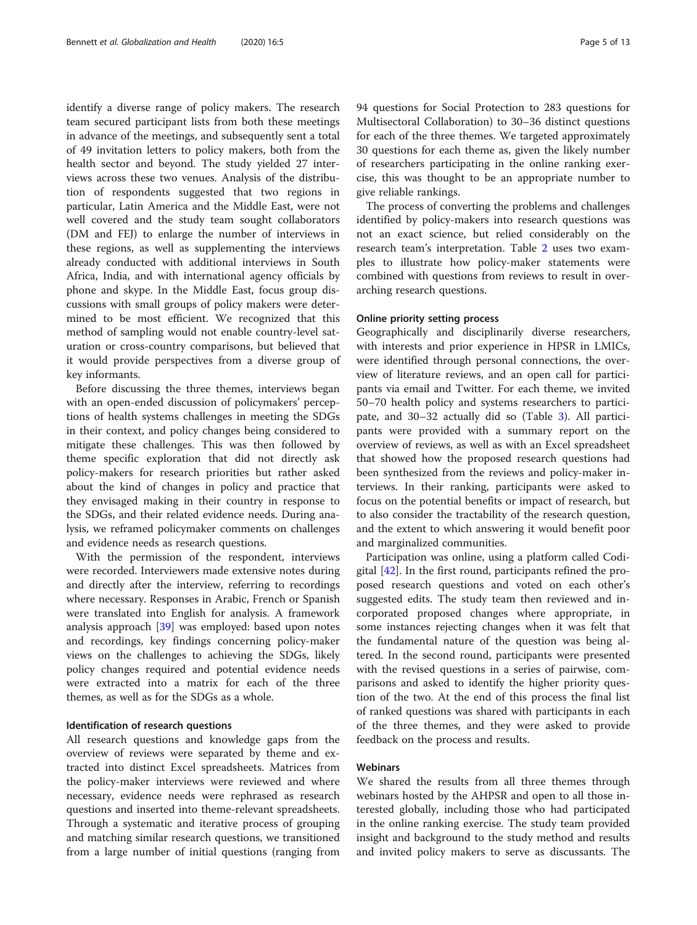identify a diverse range of policy makers. The research team secured participant lists from both these meetings in advance of the meetings, and subsequently sent a total of 49 invitation letters to policy makers, both from the health sector and beyond. The study yielded 27 interviews across these two venues. Analysis of the distribution of respondents suggested that two regions in particular, Latin America and the Middle East, were not well covered and the study team sought collaborators (DM and FEJ) to enlarge the number of interviews in these regions, as well as supplementing the interviews already conducted with additional interviews in South Africa, India, and with international agency officials by phone and skype. In the Middle East, focus group discussions with small groups of policy makers were determined to be most efficient. We recognized that this method of sampling would not enable country-level saturation or cross-country comparisons, but believed that it would provide perspectives from a diverse group of key informants.

Before discussing the three themes, interviews began with an open-ended discussion of policymakers' perceptions of health systems challenges in meeting the SDGs in their context, and policy changes being considered to mitigate these challenges. This was then followed by theme specific exploration that did not directly ask policy-makers for research priorities but rather asked about the kind of changes in policy and practice that they envisaged making in their country in response to the SDGs, and their related evidence needs. During analysis, we reframed policymaker comments on challenges and evidence needs as research questions.

With the permission of the respondent, interviews were recorded. Interviewers made extensive notes during and directly after the interview, referring to recordings where necessary. Responses in Arabic, French or Spanish were translated into English for analysis. A framework analysis approach [\[39](#page-12-0)] was employed: based upon notes and recordings, key findings concerning policy-maker views on the challenges to achieving the SDGs, likely policy changes required and potential evidence needs were extracted into a matrix for each of the three themes, as well as for the SDGs as a whole.

#### Identification of research questions

All research questions and knowledge gaps from the overview of reviews were separated by theme and extracted into distinct Excel spreadsheets. Matrices from the policy-maker interviews were reviewed and where necessary, evidence needs were rephrased as research questions and inserted into theme-relevant spreadsheets. Through a systematic and iterative process of grouping and matching similar research questions, we transitioned from a large number of initial questions (ranging from 94 questions for Social Protection to 283 questions for Multisectoral Collaboration) to 30–36 distinct questions for each of the three themes. We targeted approximately 30 questions for each theme as, given the likely number of researchers participating in the online ranking exercise, this was thought to be an appropriate number to give reliable rankings.

The process of converting the problems and challenges identified by policy-makers into research questions was not an exact science, but relied considerably on the research team's interpretation. Table [2](#page-5-0) uses two examples to illustrate how policy-maker statements were combined with questions from reviews to result in overarching research questions.

## Online priority setting process

Geographically and disciplinarily diverse researchers, with interests and prior experience in HPSR in LMICs, were identified through personal connections, the overview of literature reviews, and an open call for participants via email and Twitter. For each theme, we invited 50–70 health policy and systems researchers to participate, and 30–32 actually did so (Table [3](#page-5-0)). All participants were provided with a summary report on the overview of reviews, as well as with an Excel spreadsheet that showed how the proposed research questions had been synthesized from the reviews and policy-maker interviews. In their ranking, participants were asked to focus on the potential benefits or impact of research, but to also consider the tractability of the research question, and the extent to which answering it would benefit poor and marginalized communities.

Participation was online, using a platform called Codigital  $[42]$  $[42]$ . In the first round, participants refined the proposed research questions and voted on each other's suggested edits. The study team then reviewed and incorporated proposed changes where appropriate, in some instances rejecting changes when it was felt that the fundamental nature of the question was being altered. In the second round, participants were presented with the revised questions in a series of pairwise, comparisons and asked to identify the higher priority question of the two. At the end of this process the final list of ranked questions was shared with participants in each of the three themes, and they were asked to provide feedback on the process and results.

## Webinars

We shared the results from all three themes through webinars hosted by the AHPSR and open to all those interested globally, including those who had participated in the online ranking exercise. The study team provided insight and background to the study method and results and invited policy makers to serve as discussants. The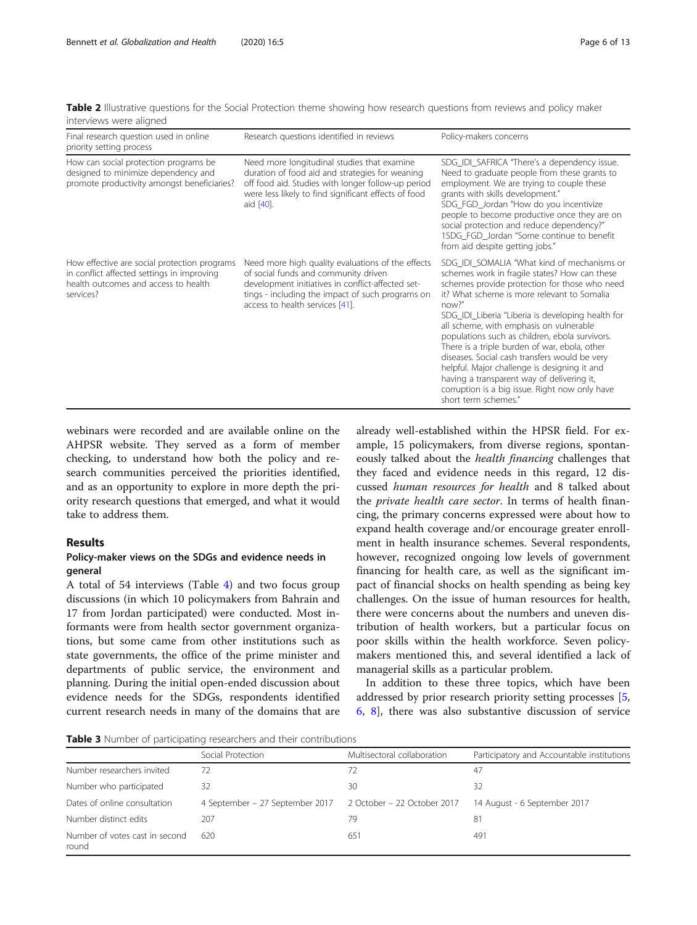<span id="page-5-0"></span>Table 2 Illustrative questions for the Social Protection theme showing how research questions from reviews and policy maker interviews were aligned

| Final research question used in online<br>priority setting process                                                                              | Research questions identified in reviews                                                                                                                                                                                              | Policy-makers concerns                                                                                                                                                                                                                                                                                                                                                                                                                                                                                                                                                                                                            |
|-------------------------------------------------------------------------------------------------------------------------------------------------|---------------------------------------------------------------------------------------------------------------------------------------------------------------------------------------------------------------------------------------|-----------------------------------------------------------------------------------------------------------------------------------------------------------------------------------------------------------------------------------------------------------------------------------------------------------------------------------------------------------------------------------------------------------------------------------------------------------------------------------------------------------------------------------------------------------------------------------------------------------------------------------|
| How can social protection programs be<br>designed to minimize dependency and<br>promote productivity amongst beneficiaries?                     | Need more longitudinal studies that examine<br>duration of food aid and strategies for weaning<br>off food aid. Studies with longer follow-up period<br>were less likely to find significant effects of food<br>aid [40].             | SDG_IDI_SAFRICA "There's a dependency issue.<br>Need to graduate people from these grants to<br>employment. We are trying to couple these<br>grants with skills development."<br>SDG FGD Jordan "How do you incentivize<br>people to become productive once they are on<br>social protection and reduce dependency?"<br>1SDG_FGD_Jordan "Some continue to benefit<br>from aid despite getting jobs."                                                                                                                                                                                                                              |
| How effective are social protection programs<br>in conflict affected settings in improving<br>health outcomes and access to health<br>services? | Need more high quality evaluations of the effects<br>of social funds and community driven<br>development initiatives in conflict-affected set-<br>tings - including the impact of such programs on<br>access to health services [41]. | SDG IDI SOMALIA "What kind of mechanisms or<br>schemes work in fragile states? How can these<br>schemes provide protection for those who need<br>it? What scheme is more relevant to Somalia<br>now?"<br>SDG_IDI_Liberia "Liberia is developing health for<br>all scheme, with emphasis on vulnerable<br>populations such as children, ebola survivors.<br>There is a triple burden of war, ebola, other<br>diseases. Social cash transfers would be very<br>helpful. Major challenge is designing it and<br>having a transparent way of delivering it,<br>corruption is a big issue. Right now only have<br>short term schemes." |

webinars were recorded and are available online on the AHPSR website. They served as a form of member checking, to understand how both the policy and research communities perceived the priorities identified, and as an opportunity to explore in more depth the priority research questions that emerged, and what it would take to address them.

## Results

## Policy-maker views on the SDGs and evidence needs in general

A total of 54 interviews (Table [4\)](#page-6-0) and two focus group discussions (in which 10 policymakers from Bahrain and 17 from Jordan participated) were conducted. Most informants were from health sector government organizations, but some came from other institutions such as state governments, the office of the prime minister and departments of public service, the environment and planning. During the initial open-ended discussion about evidence needs for the SDGs, respondents identified current research needs in many of the domains that are

already well-established within the HPSR field. For example, 15 policymakers, from diverse regions, spontaneously talked about the health financing challenges that they faced and evidence needs in this regard, 12 discussed human resources for health and 8 talked about the private health care sector. In terms of health financing, the primary concerns expressed were about how to expand health coverage and/or encourage greater enrollment in health insurance schemes. Several respondents, however, recognized ongoing low levels of government financing for health care, as well as the significant impact of financial shocks on health spending as being key challenges. On the issue of human resources for health, there were concerns about the numbers and uneven distribution of health workers, but a particular focus on poor skills within the health workforce. Seven policymakers mentioned this, and several identified a lack of managerial skills as a particular problem.

In addition to these three topics, which have been addressed by prior research priority setting processes [\[5](#page-11-0), [6,](#page-11-0) [8\]](#page-11-0), there was also substantive discussion of service

Table 3 Number of participating researchers and their contributions

|                                         | Social Protection                                           | Multisectoral collaboration | Participatory and Accountable institutions |  |  |  |
|-----------------------------------------|-------------------------------------------------------------|-----------------------------|--------------------------------------------|--|--|--|
| Number researchers invited              | 72                                                          | 72                          | 47                                         |  |  |  |
| Number who participated                 | 32                                                          | 30                          | 32                                         |  |  |  |
| Dates of online consultation            | 4 September – 27 September 2017 2 October – 22 October 2017 |                             | 14 August - 6 September 2017               |  |  |  |
| Number distinct edits                   | 207                                                         | 79                          | $8^{\circ}$                                |  |  |  |
| Number of votes cast in second<br>round | 620                                                         | 651                         | 491                                        |  |  |  |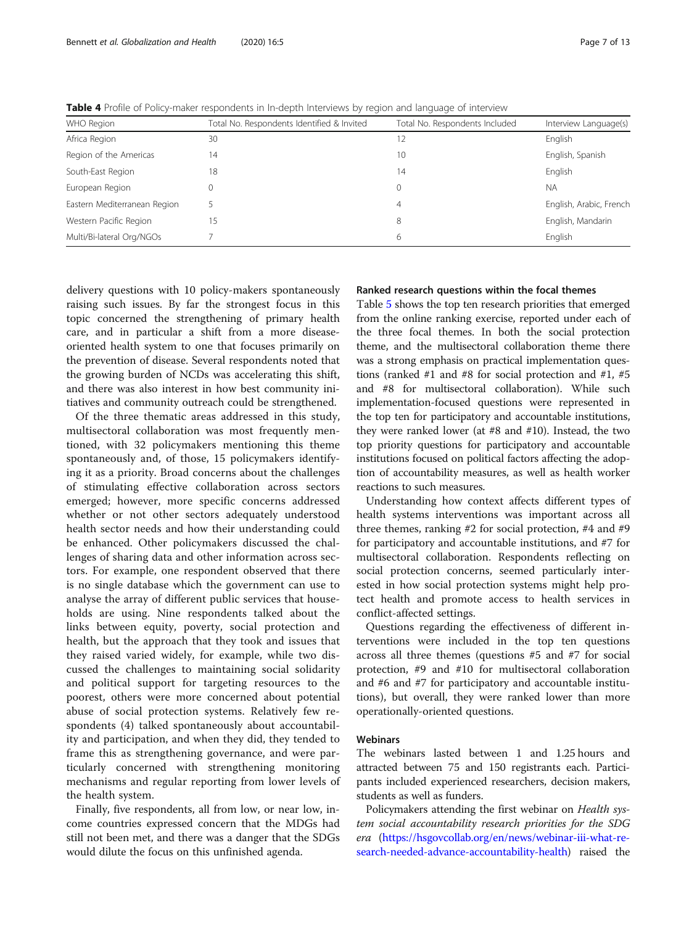<span id="page-6-0"></span>Table 4 Profile of Policy-maker respondents in In-depth Interviews by region and language of interview

| WHO Region                   | Total No. Respondents Identified & Invited | Total No. Respondents Included | Interview Language(s)   |
|------------------------------|--------------------------------------------|--------------------------------|-------------------------|
| Africa Region                | 30                                         | 12                             | English                 |
| Region of the Americas       | 14                                         | 10                             | English, Spanish        |
| South-East Region            | 18                                         | 14                             | English                 |
| European Region              |                                            | 0                              | <b>NA</b>               |
| Eastern Mediterranean Region |                                            | 4                              | English, Arabic, French |
| Western Pacific Region       | 15                                         | 8                              | English, Mandarin       |
| Multi/Bi-lateral Org/NGOs    |                                            | 6                              | English                 |

delivery questions with 10 policy-makers spontaneously raising such issues. By far the strongest focus in this topic concerned the strengthening of primary health care, and in particular a shift from a more diseaseoriented health system to one that focuses primarily on the prevention of disease. Several respondents noted that the growing burden of NCDs was accelerating this shift, and there was also interest in how best community initiatives and community outreach could be strengthened.

Of the three thematic areas addressed in this study, multisectoral collaboration was most frequently mentioned, with 32 policymakers mentioning this theme spontaneously and, of those, 15 policymakers identifying it as a priority. Broad concerns about the challenges of stimulating effective collaboration across sectors emerged; however, more specific concerns addressed whether or not other sectors adequately understood health sector needs and how their understanding could be enhanced. Other policymakers discussed the challenges of sharing data and other information across sectors. For example, one respondent observed that there is no single database which the government can use to analyse the array of different public services that households are using. Nine respondents talked about the links between equity, poverty, social protection and health, but the approach that they took and issues that they raised varied widely, for example, while two discussed the challenges to maintaining social solidarity and political support for targeting resources to the poorest, others were more concerned about potential abuse of social protection systems. Relatively few respondents (4) talked spontaneously about accountability and participation, and when they did, they tended to frame this as strengthening governance, and were particularly concerned with strengthening monitoring mechanisms and regular reporting from lower levels of the health system.

Finally, five respondents, all from low, or near low, income countries expressed concern that the MDGs had still not been met, and there was a danger that the SDGs would dilute the focus on this unfinished agenda.

## Ranked research questions within the focal themes

Table [5](#page-7-0) shows the top ten research priorities that emerged from the online ranking exercise, reported under each of the three focal themes. In both the social protection theme, and the multisectoral collaboration theme there was a strong emphasis on practical implementation questions (ranked #1 and #8 for social protection and #1, #5 and #8 for multisectoral collaboration). While such implementation-focused questions were represented in the top ten for participatory and accountable institutions, they were ranked lower (at #8 and #10). Instead, the two top priority questions for participatory and accountable institutions focused on political factors affecting the adoption of accountability measures, as well as health worker reactions to such measures.

Understanding how context affects different types of health systems interventions was important across all three themes, ranking #2 for social protection, #4 and #9 for participatory and accountable institutions, and #7 for multisectoral collaboration. Respondents reflecting on social protection concerns, seemed particularly interested in how social protection systems might help protect health and promote access to health services in conflict-affected settings.

Questions regarding the effectiveness of different interventions were included in the top ten questions across all three themes (questions #5 and #7 for social protection, #9 and #10 for multisectoral collaboration and #6 and #7 for participatory and accountable institutions), but overall, they were ranked lower than more operationally-oriented questions.

## Webinars

The webinars lasted between 1 and 1.25 hours and attracted between 75 and 150 registrants each. Participants included experienced researchers, decision makers, students as well as funders.

Policymakers attending the first webinar on *Health sys*tem social accountability research priorities for the SDG era ([https://hsgovcollab.org/en/news/webinar-iii-what-re](https://hsgovcollab.org/en/news/webinar-iii-what-research-needed-advance-accountability-health)[search-needed-advance-accountability-health](https://hsgovcollab.org/en/news/webinar-iii-what-research-needed-advance-accountability-health)) raised the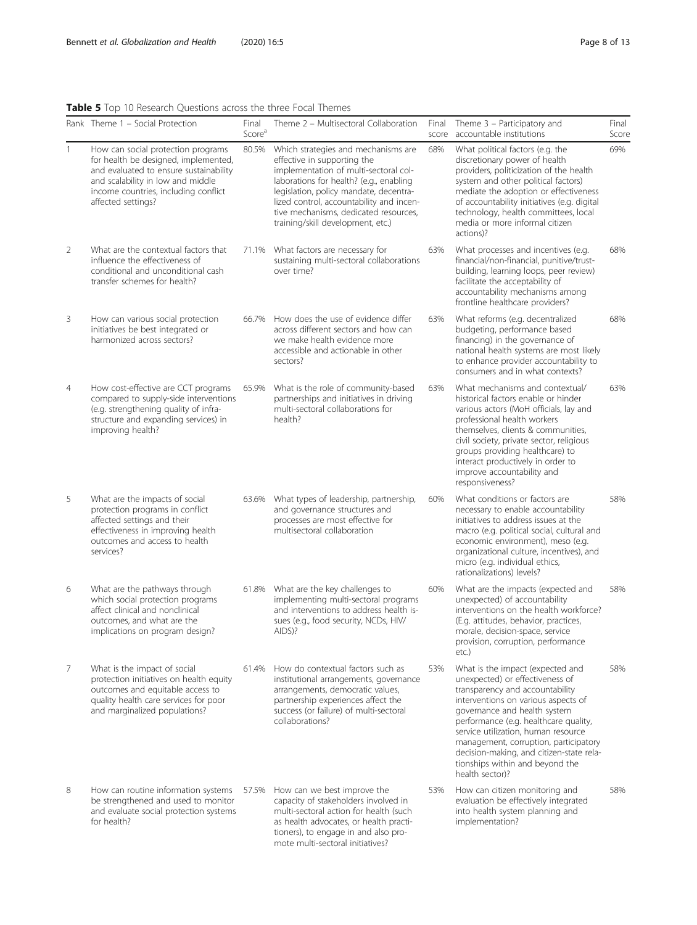## <span id="page-7-0"></span>Table 5 Top 10 Research Questions across the three Focal Themes

|                | <b>Table 3</b> TOP TO RESEARCH QUESTIONS ACTOSS THE THREE FOCAL THEITIES<br>Rank Theme 1 - Social Protection                                                                                                            | Final                       | Theme 2 - Multisectoral Collaboration                                                                                                                                                                                                                                                                                      | Final        | Theme 3 - Participatory and                                                                                                                                                                                                                                                                                                                                                                              | Final        |
|----------------|-------------------------------------------------------------------------------------------------------------------------------------------------------------------------------------------------------------------------|-----------------------------|----------------------------------------------------------------------------------------------------------------------------------------------------------------------------------------------------------------------------------------------------------------------------------------------------------------------------|--------------|----------------------------------------------------------------------------------------------------------------------------------------------------------------------------------------------------------------------------------------------------------------------------------------------------------------------------------------------------------------------------------------------------------|--------------|
| $\mathbf{1}$   | How can social protection programs<br>for health be designed, implemented,<br>and evaluated to ensure sustainability<br>and scalability in low and middle<br>income countries, including conflict<br>affected settings? | Score <sup>a</sup><br>80.5% | Which strategies and mechanisms are<br>effective in supporting the<br>implementation of multi-sectoral col-<br>laborations for health? (e.g., enabling<br>legislation, policy mandate, decentra-<br>lized control, accountability and incen-<br>tive mechanisms, dedicated resources,<br>training/skill development, etc.) | score<br>68% | accountable institutions<br>What political factors (e.g. the<br>discretionary power of health<br>providers, politicization of the health<br>system and other political factors)<br>mediate the adoption or effectiveness<br>of accountability initiatives (e.g. digital<br>technology, health committees, local<br>media or more informal citizen<br>actions)?                                           | Score<br>69% |
| 2              | What are the contextual factors that<br>influence the effectiveness of<br>conditional and unconditional cash<br>transfer schemes for health?                                                                            |                             | 71.1% What factors are necessary for<br>sustaining multi-sectoral collaborations<br>over time?                                                                                                                                                                                                                             | 63%          | What processes and incentives (e.g.<br>financial/non-financial, punitive/trust-<br>building, learning loops, peer review)<br>facilitate the acceptability of<br>accountability mechanisms among<br>frontline healthcare providers?                                                                                                                                                                       | 68%          |
| 3              | How can various social protection<br>initiatives be best integrated or<br>harmonized across sectors?                                                                                                                    | 66.7%                       | How does the use of evidence differ<br>across different sectors and how can<br>we make health evidence more<br>accessible and actionable in other<br>sectors?                                                                                                                                                              | 63%          | What reforms (e.g. decentralized<br>budgeting, performance based<br>financing) in the governance of<br>national health systems are most likely<br>to enhance provider accountability to<br>consumers and in what contexts?                                                                                                                                                                               | 68%          |
| 4              | How cost-effective are CCT programs<br>compared to supply-side interventions<br>(e.g. strengthening quality of infra-<br>structure and expanding services) in<br>improving health?                                      | 65.9%                       | What is the role of community-based<br>partnerships and initiatives in driving<br>multi-sectoral collaborations for<br>health?                                                                                                                                                                                             | 63%          | What mechanisms and contextual/<br>historical factors enable or hinder<br>various actors (MoH officials, lay and<br>professional health workers<br>themselves, clients & communities,<br>civil society, private sector, religious<br>groups providing healthcare) to<br>interact productively in order to<br>improve accountability and<br>responsiveness?                                               | 63%          |
| 5              | What are the impacts of social<br>protection programs in conflict<br>affected settings and their<br>effectiveness in improving health<br>outcomes and access to health<br>services?                                     | 63.6%                       | What types of leadership, partnership,<br>and governance structures and<br>processes are most effective for<br>multisectoral collaboration                                                                                                                                                                                 | 60%          | What conditions or factors are<br>necessary to enable accountability<br>initiatives to address issues at the<br>macro (e.g. political social, cultural and<br>economic environment), meso (e.g.<br>organizational culture, incentives), and<br>micro (e.g. individual ethics,<br>rationalizations) levels?                                                                                               | 58%          |
| 6              | What are the pathways through<br>which social protection programs<br>affect clinical and nonclinical<br>outcomes, and what are the<br>implications on program design?                                                   |                             | 61.8% What are the key challenges to<br>implementing multi-sectoral programs<br>and interventions to address health is-<br>sues (e.g., food security, NCDs, HIV/<br>AIDS)?                                                                                                                                                 | 60%          | What are the impacts (expected and<br>unexpected) of accountability<br>interventions on the health workforce?<br>(E.g. attitudes, behavior, practices,<br>morale, decision-space, service<br>provision, corruption, performance<br>etc.)                                                                                                                                                                 | 58%          |
| $\overline{7}$ | What is the impact of social<br>protection initiatives on health equity<br>outcomes and equitable access to<br>quality health care services for poor<br>and marginalized populations?                                   | 61.4%                       | How do contextual factors such as<br>institutional arrangements, governance<br>arrangements, democratic values,<br>partnership experiences affect the<br>success (or failure) of multi-sectoral<br>collaborations?                                                                                                         | 53%          | What is the impact (expected and<br>unexpected) or effectiveness of<br>transparency and accountability<br>interventions on various aspects of<br>governance and health system<br>performance (e.g. healthcare quality,<br>service utilization, human resource<br>management, corruption, participatory<br>decision-making, and citizen-state rela-<br>tionships within and beyond the<br>health sector)? | 58%          |
| 8              | How can routine information systems<br>be strengthened and used to monitor<br>and evaluate social protection systems<br>for health?                                                                                     | 57.5%                       | How can we best improve the<br>capacity of stakeholders involved in<br>multi-sectoral action for health (such<br>as health advocates, or health practi-<br>tioners), to engage in and also pro-<br>mote multi-sectoral initiatives?                                                                                        | 53%          | How can citizen monitoring and<br>evaluation be effectively integrated<br>into health system planning and<br>implementation?                                                                                                                                                                                                                                                                             | 58%          |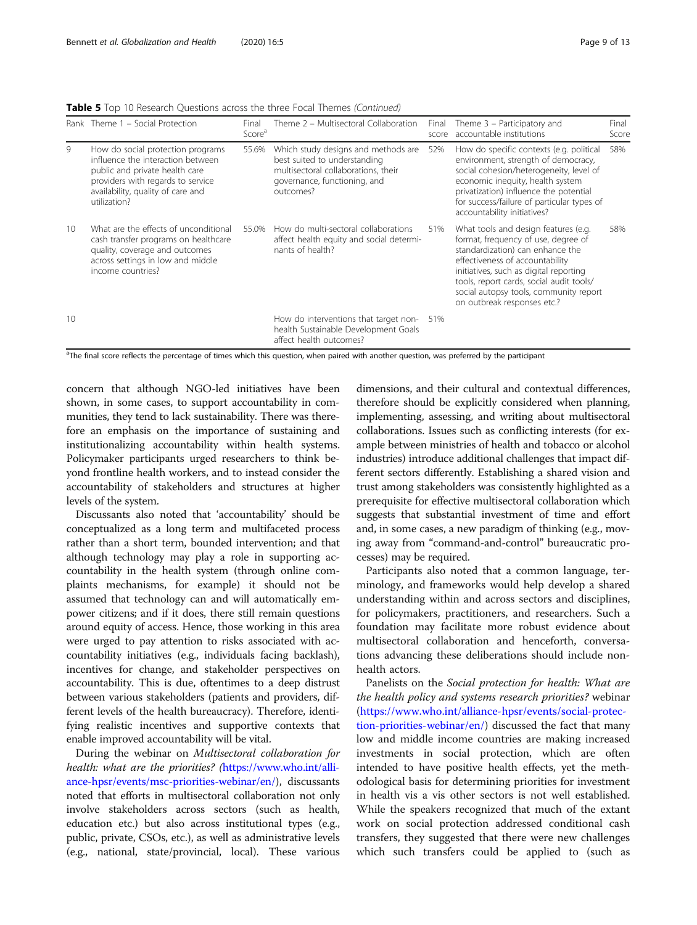Table 5 Top 10 Research Questions across the three Focal Themes (Continued)

|    | Rank Theme 1 - Social Protection                                                                                                                                                                   | Final<br>Score <sup>a</sup> | Theme 2 - Multisectoral Collaboration                                                                                                                   | Final<br>score | Theme 3 – Participatory and<br>accountable institutions                                                                                                                                                                                                                                                           | Final<br>Score |
|----|----------------------------------------------------------------------------------------------------------------------------------------------------------------------------------------------------|-----------------------------|---------------------------------------------------------------------------------------------------------------------------------------------------------|----------------|-------------------------------------------------------------------------------------------------------------------------------------------------------------------------------------------------------------------------------------------------------------------------------------------------------------------|----------------|
| 9  | How do social protection programs<br>influence the interaction between<br>public and private health care<br>providers with regards to service<br>availability, quality of care and<br>utilization? | 55.6%                       | Which study designs and methods are<br>best suited to understanding<br>multisectoral collaborations, their<br>governance, functioning, and<br>outcomes? | 52%            | How do specific contexts (e.g. political<br>environment, strength of democracy,<br>social cohesion/heterogeneity, level of<br>economic inequity, health system<br>privatization) influence the potential<br>for success/failure of particular types of<br>accountability initiatives?                             | 58%            |
| 10 | What are the effects of unconditional<br>cash transfer programs on healthcare<br>quality, coverage and outcomes<br>across settings in low and middle<br>income countries?                          | 55.0%                       | How do multi-sectoral collaborations<br>affect health equity and social determi-<br>nants of health?                                                    | 51%            | What tools and design features (e.g.<br>format, frequency of use, degree of<br>standardization) can enhance the<br>effectiveness of accountability<br>initiatives, such as digital reporting<br>tools, report cards, social audit tools/<br>social autopsy tools, community report<br>on outbreak responses etc.? | 58%            |
| 10 |                                                                                                                                                                                                    |                             | How do interventions that target non-<br>health Sustainable Development Goals<br>affect health outcomes?                                                | 51%            |                                                                                                                                                                                                                                                                                                                   |                |

<sup>a</sup>The final score reflects the percentage of times which this question, when paired with another question, was preferred by the participant

concern that although NGO-led initiatives have been shown, in some cases, to support accountability in communities, they tend to lack sustainability. There was therefore an emphasis on the importance of sustaining and institutionalizing accountability within health systems. Policymaker participants urged researchers to think beyond frontline health workers, and to instead consider the accountability of stakeholders and structures at higher levels of the system.

Discussants also noted that 'accountability' should be conceptualized as a long term and multifaceted process rather than a short term, bounded intervention; and that although technology may play a role in supporting accountability in the health system (through online complaints mechanisms, for example) it should not be assumed that technology can and will automatically empower citizens; and if it does, there still remain questions around equity of access. Hence, those working in this area were urged to pay attention to risks associated with accountability initiatives (e.g., individuals facing backlash), incentives for change, and stakeholder perspectives on accountability. This is due, oftentimes to a deep distrust between various stakeholders (patients and providers, different levels of the health bureaucracy). Therefore, identifying realistic incentives and supportive contexts that enable improved accountability will be vital.

During the webinar on Multisectoral collaboration for health: what are the priorities? ([https://www.who.int/alli](https://www.who.int/alliance-hpsr/events/msc-priorities-webinar/en/)[ance-hpsr/events/msc-priorities-webinar/en/](https://www.who.int/alliance-hpsr/events/msc-priorities-webinar/en/)), discussants noted that efforts in multisectoral collaboration not only involve stakeholders across sectors (such as health, education etc.) but also across institutional types (e.g., public, private, CSOs, etc.), as well as administrative levels (e.g., national, state/provincial, local). These various

dimensions, and their cultural and contextual differences, therefore should be explicitly considered when planning, implementing, assessing, and writing about multisectoral collaborations. Issues such as conflicting interests (for example between ministries of health and tobacco or alcohol industries) introduce additional challenges that impact different sectors differently. Establishing a shared vision and trust among stakeholders was consistently highlighted as a prerequisite for effective multisectoral collaboration which suggests that substantial investment of time and effort and, in some cases, a new paradigm of thinking (e.g., moving away from "command-and-control" bureaucratic processes) may be required.

Participants also noted that a common language, terminology, and frameworks would help develop a shared understanding within and across sectors and disciplines, for policymakers, practitioners, and researchers. Such a foundation may facilitate more robust evidence about multisectoral collaboration and henceforth, conversations advancing these deliberations should include nonhealth actors.

Panelists on the Social protection for health: What are the health policy and systems research priorities? webinar ([https://www.who.int/alliance-hpsr/events/social-protec](https://www.who.int/alliance-hpsr/events/social-protection-priorities-webinar/en/)[tion-priorities-webinar/en/](https://www.who.int/alliance-hpsr/events/social-protection-priorities-webinar/en/)) discussed the fact that many low and middle income countries are making increased investments in social protection, which are often intended to have positive health effects, yet the methodological basis for determining priorities for investment in health vis a vis other sectors is not well established. While the speakers recognized that much of the extant work on social protection addressed conditional cash transfers, they suggested that there were new challenges which such transfers could be applied to (such as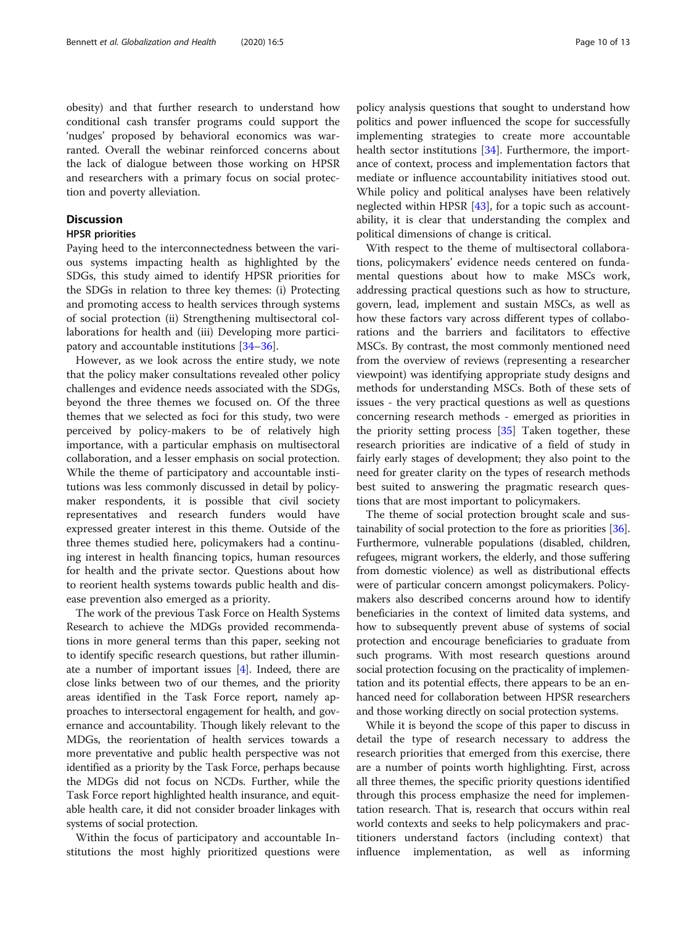obesity) and that further research to understand how conditional cash transfer programs could support the 'nudges' proposed by behavioral economics was warranted. Overall the webinar reinforced concerns about the lack of dialogue between those working on HPSR and researchers with a primary focus on social protection and poverty alleviation.

## **Discussion**

## HPSR priorities

Paying heed to the interconnectedness between the various systems impacting health as highlighted by the SDGs, this study aimed to identify HPSR priorities for the SDGs in relation to three key themes: (i) Protecting and promoting access to health services through systems of social protection (ii) Strengthening multisectoral collaborations for health and (iii) Developing more participatory and accountable institutions [\[34](#page-12-0)–[36\]](#page-12-0).

However, as we look across the entire study, we note that the policy maker consultations revealed other policy challenges and evidence needs associated with the SDGs, beyond the three themes we focused on. Of the three themes that we selected as foci for this study, two were perceived by policy-makers to be of relatively high importance, with a particular emphasis on multisectoral collaboration, and a lesser emphasis on social protection. While the theme of participatory and accountable institutions was less commonly discussed in detail by policymaker respondents, it is possible that civil society representatives and research funders would have expressed greater interest in this theme. Outside of the three themes studied here, policymakers had a continuing interest in health financing topics, human resources for health and the private sector. Questions about how to reorient health systems towards public health and disease prevention also emerged as a priority.

The work of the previous Task Force on Health Systems Research to achieve the MDGs provided recommendations in more general terms than this paper, seeking not to identify specific research questions, but rather illuminate a number of important issues [\[4\]](#page-11-0). Indeed, there are close links between two of our themes, and the priority areas identified in the Task Force report, namely approaches to intersectoral engagement for health, and governance and accountability. Though likely relevant to the MDGs, the reorientation of health services towards a more preventative and public health perspective was not identified as a priority by the Task Force, perhaps because the MDGs did not focus on NCDs. Further, while the Task Force report highlighted health insurance, and equitable health care, it did not consider broader linkages with systems of social protection.

Within the focus of participatory and accountable Institutions the most highly prioritized questions were

policy analysis questions that sought to understand how politics and power influenced the scope for successfully implementing strategies to create more accountable health sector institutions [\[34](#page-12-0)]. Furthermore, the importance of context, process and implementation factors that mediate or influence accountability initiatives stood out. While policy and political analyses have been relatively neglected within HPSR [[43\]](#page-12-0), for a topic such as accountability, it is clear that understanding the complex and political dimensions of change is critical.

With respect to the theme of multisectoral collaborations, policymakers' evidence needs centered on fundamental questions about how to make MSCs work, addressing practical questions such as how to structure, govern, lead, implement and sustain MSCs, as well as how these factors vary across different types of collaborations and the barriers and facilitators to effective MSCs. By contrast, the most commonly mentioned need from the overview of reviews (representing a researcher viewpoint) was identifying appropriate study designs and methods for understanding MSCs. Both of these sets of issues - the very practical questions as well as questions concerning research methods - emerged as priorities in the priority setting process [\[35](#page-12-0)] Taken together, these research priorities are indicative of a field of study in fairly early stages of development; they also point to the need for greater clarity on the types of research methods best suited to answering the pragmatic research questions that are most important to policymakers.

The theme of social protection brought scale and sustainability of social protection to the fore as priorities [[36](#page-12-0)]. Furthermore, vulnerable populations (disabled, children, refugees, migrant workers, the elderly, and those suffering from domestic violence) as well as distributional effects were of particular concern amongst policymakers. Policymakers also described concerns around how to identify beneficiaries in the context of limited data systems, and how to subsequently prevent abuse of systems of social protection and encourage beneficiaries to graduate from such programs. With most research questions around social protection focusing on the practicality of implementation and its potential effects, there appears to be an enhanced need for collaboration between HPSR researchers and those working directly on social protection systems.

While it is beyond the scope of this paper to discuss in detail the type of research necessary to address the research priorities that emerged from this exercise, there are a number of points worth highlighting. First, across all three themes, the specific priority questions identified through this process emphasize the need for implementation research. That is, research that occurs within real world contexts and seeks to help policymakers and practitioners understand factors (including context) that influence implementation, as well as informing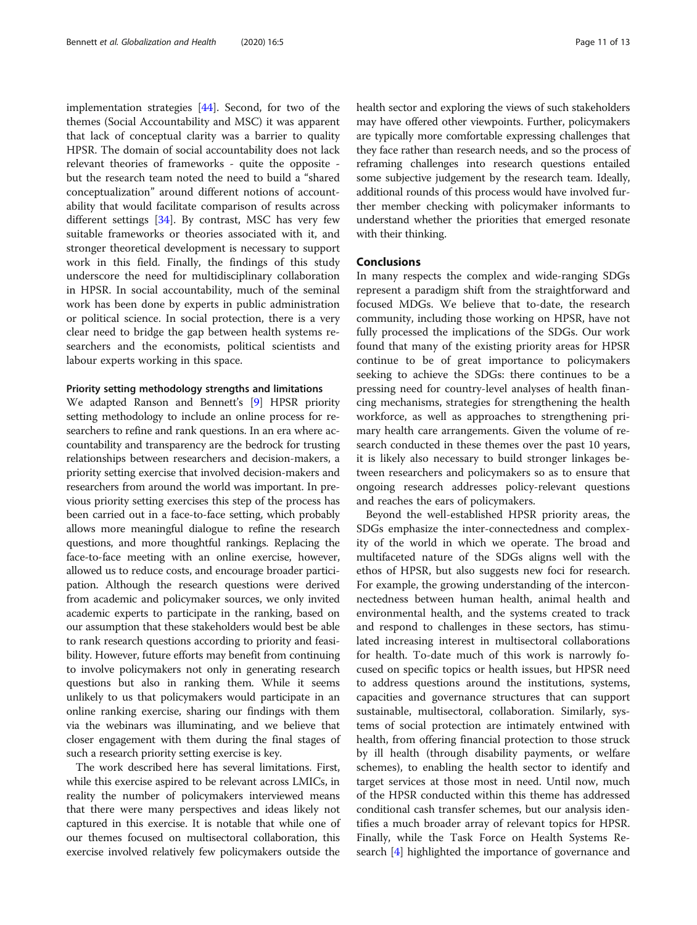implementation strategies [\[44\]](#page-12-0). Second, for two of the themes (Social Accountability and MSC) it was apparent that lack of conceptual clarity was a barrier to quality HPSR. The domain of social accountability does not lack relevant theories of frameworks - quite the opposite but the research team noted the need to build a "shared conceptualization" around different notions of accountability that would facilitate comparison of results across different settings [\[34](#page-12-0)]. By contrast, MSC has very few suitable frameworks or theories associated with it, and stronger theoretical development is necessary to support work in this field. Finally, the findings of this study underscore the need for multidisciplinary collaboration in HPSR. In social accountability, much of the seminal work has been done by experts in public administration or political science. In social protection, there is a very clear need to bridge the gap between health systems researchers and the economists, political scientists and labour experts working in this space.

## Priority setting methodology strengths and limitations

We adapted Ranson and Bennett's [\[9\]](#page-11-0) HPSR priority setting methodology to include an online process for researchers to refine and rank questions. In an era where accountability and transparency are the bedrock for trusting relationships between researchers and decision-makers, a priority setting exercise that involved decision-makers and researchers from around the world was important. In previous priority setting exercises this step of the process has been carried out in a face-to-face setting, which probably allows more meaningful dialogue to refine the research questions, and more thoughtful rankings. Replacing the face-to-face meeting with an online exercise, however, allowed us to reduce costs, and encourage broader participation. Although the research questions were derived from academic and policymaker sources, we only invited academic experts to participate in the ranking, based on our assumption that these stakeholders would best be able to rank research questions according to priority and feasibility. However, future efforts may benefit from continuing to involve policymakers not only in generating research questions but also in ranking them. While it seems unlikely to us that policymakers would participate in an online ranking exercise, sharing our findings with them via the webinars was illuminating, and we believe that closer engagement with them during the final stages of such a research priority setting exercise is key.

The work described here has several limitations. First, while this exercise aspired to be relevant across LMICs, in reality the number of policymakers interviewed means that there were many perspectives and ideas likely not captured in this exercise. It is notable that while one of our themes focused on multisectoral collaboration, this exercise involved relatively few policymakers outside the health sector and exploring the views of such stakeholders may have offered other viewpoints. Further, policymakers are typically more comfortable expressing challenges that they face rather than research needs, and so the process of reframing challenges into research questions entailed some subjective judgement by the research team. Ideally, additional rounds of this process would have involved further member checking with policymaker informants to understand whether the priorities that emerged resonate with their thinking.

## Conclusions

In many respects the complex and wide-ranging SDGs represent a paradigm shift from the straightforward and focused MDGs. We believe that to-date, the research community, including those working on HPSR, have not fully processed the implications of the SDGs. Our work found that many of the existing priority areas for HPSR continue to be of great importance to policymakers seeking to achieve the SDGs: there continues to be a pressing need for country-level analyses of health financing mechanisms, strategies for strengthening the health workforce, as well as approaches to strengthening primary health care arrangements. Given the volume of research conducted in these themes over the past 10 years, it is likely also necessary to build stronger linkages between researchers and policymakers so as to ensure that ongoing research addresses policy-relevant questions and reaches the ears of policymakers.

Beyond the well-established HPSR priority areas, the SDGs emphasize the inter-connectedness and complexity of the world in which we operate. The broad and multifaceted nature of the SDGs aligns well with the ethos of HPSR, but also suggests new foci for research. For example, the growing understanding of the interconnectedness between human health, animal health and environmental health, and the systems created to track and respond to challenges in these sectors, has stimulated increasing interest in multisectoral collaborations for health. To-date much of this work is narrowly focused on specific topics or health issues, but HPSR need to address questions around the institutions, systems, capacities and governance structures that can support sustainable, multisectoral, collaboration. Similarly, systems of social protection are intimately entwined with health, from offering financial protection to those struck by ill health (through disability payments, or welfare schemes), to enabling the health sector to identify and target services at those most in need. Until now, much of the HPSR conducted within this theme has addressed conditional cash transfer schemes, but our analysis identifies a much broader array of relevant topics for HPSR. Finally, while the Task Force on Health Systems Research [\[4\]](#page-11-0) highlighted the importance of governance and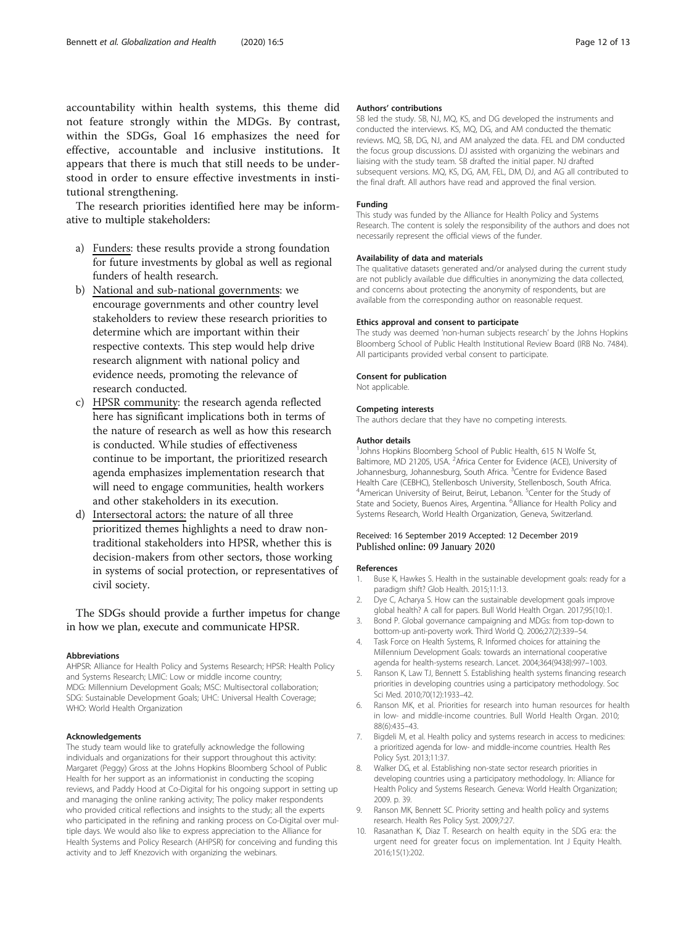<span id="page-11-0"></span>accountability within health systems, this theme did not feature strongly within the MDGs. By contrast, within the SDGs, Goal 16 emphasizes the need for effective, accountable and inclusive institutions. It appears that there is much that still needs to be understood in order to ensure effective investments in institutional strengthening.

The research priorities identified here may be informative to multiple stakeholders:

- a) Funders: these results provide a strong foundation for future investments by global as well as regional funders of health research.
- b) National and sub-national governments: we encourage governments and other country level stakeholders to review these research priorities to determine which are important within their respective contexts. This step would help drive research alignment with national policy and evidence needs, promoting the relevance of research conducted.
- c) HPSR community: the research agenda reflected here has significant implications both in terms of the nature of research as well as how this research is conducted. While studies of effectiveness continue to be important, the prioritized research agenda emphasizes implementation research that will need to engage communities, health workers and other stakeholders in its execution.
- d) Intersectoral actors: the nature of all three prioritized themes highlights a need to draw nontraditional stakeholders into HPSR, whether this is decision-makers from other sectors, those working in systems of social protection, or representatives of civil society.

The SDGs should provide a further impetus for change in how we plan, execute and communicate HPSR.

#### Abbreviations

AHPSR: Alliance for Health Policy and Systems Research; HPSR: Health Policy and Systems Research; LMIC: Low or middle income country; MDG: Millennium Development Goals; MSC: Multisectoral collaboration; SDG: Sustainable Development Goals; UHC: Universal Health Coverage; WHO: World Health Organization

#### Acknowledgements

The study team would like to gratefully acknowledge the following individuals and organizations for their support throughout this activity: Margaret (Peggy) Gross at the Johns Hopkins Bloomberg School of Public Health for her support as an informationist in conducting the scoping reviews, and Paddy Hood at Co-Digital for his ongoing support in setting up and managing the online ranking activity; The policy maker respondents who provided critical reflections and insights to the study; all the experts who participated in the refining and ranking process on Co-Digital over multiple days. We would also like to express appreciation to the Alliance for Health Systems and Policy Research (AHPSR) for conceiving and funding this activity and to Jeff Knezovich with organizing the webinars.

#### Authors' contributions

SB led the study. SB, NJ, MQ, KS, and DG developed the instruments and conducted the interviews. KS, MQ, DG, and AM conducted the thematic reviews. MQ, SB, DG, NJ, and AM analyzed the data. FEL and DM conducted the focus group discussions. DJ assisted with organizing the webinars and liaising with the study team. SB drafted the initial paper. NJ drafted subsequent versions. MQ, KS, DG, AM, FEL, DM, DJ, and AG all contributed to the final draft. All authors have read and approved the final version.

#### Funding

This study was funded by the Alliance for Health Policy and Systems Research. The content is solely the responsibility of the authors and does not necessarily represent the official views of the funder.

#### Availability of data and materials

The qualitative datasets generated and/or analysed during the current study are not publicly available due difficulties in anonymizing the data collected, and concerns about protecting the anonymity of respondents, but are available from the corresponding author on reasonable request.

#### Ethics approval and consent to participate

The study was deemed 'non-human subjects research' by the Johns Hopkins Bloomberg School of Public Health Institutional Review Board (IRB No. 7484). All participants provided verbal consent to participate.

#### Consent for publication

Not applicable.

#### Competing interests

The authors declare that they have no competing interests.

#### Author details

<sup>1</sup> Johns Hopkins Bloomberg School of Public Health, 615 N Wolfe St, Baltimore, MD 21205, USA. <sup>2</sup> Africa Center for Evidence (ACE), University of Johannesburg, Johannesburg, South Africa. <sup>3</sup>Centre for Evidence Based Health Care (CEBHC), Stellenbosch University, Stellenbosch, South Africa. <sup>4</sup> American University of Beirut, Beirut, Lebanon. <sup>5</sup> Center for the Study of State and Society, Buenos Aires, Argentina. <sup>6</sup>Alliance for Health Policy and Systems Research, World Health Organization, Geneva, Switzerland.

#### Received: 16 September 2019 Accepted: 12 December 2019 Published online: 09 January 2020

#### References

- 1. Buse K, Hawkes S. Health in the sustainable development goals: ready for a paradigm shift? Glob Health. 2015;11:13.
- 2. Dye C, Acharya S. How can the sustainable development goals improve global health? A call for papers. Bull World Health Organ. 2017;95(10):1.
- 3. Bond P. Global governance campaigning and MDGs: from top-down to bottom-up anti-poverty work. Third World Q. 2006;27(2):339–54.
- 4. Task Force on Health Systems, R. Informed choices for attaining the Millennium Development Goals: towards an international cooperative agenda for health-systems research. Lancet. 2004;364(9438):997–1003.
- 5. Ranson K, Law TJ, Bennett S. Establishing health systems financing research priorities in developing countries using a participatory methodology. Soc Sci Med. 2010;70(12):1933–42.
- 6. Ranson MK, et al. Priorities for research into human resources for health in low- and middle-income countries. Bull World Health Organ. 2010; 88(6):435–43.
- 7. Bigdeli M, et al. Health policy and systems research in access to medicines: a prioritized agenda for low- and middle-income countries. Health Res Policy Syst. 2013;11:37.
- 8. Walker DG, et al. Establishing non-state sector research priorities in developing countries using a participatory methodology. In: Alliance for Health Policy and Systems Research. Geneva: World Health Organization; 2009. p. 39.
- 9. Ranson MK, Bennett SC. Priority setting and health policy and systems research. Health Res Policy Syst. 2009;7:27.
- 10. Rasanathan K, Diaz T. Research on health equity in the SDG era: the urgent need for greater focus on implementation. Int J Equity Health. 2016;15(1):202.